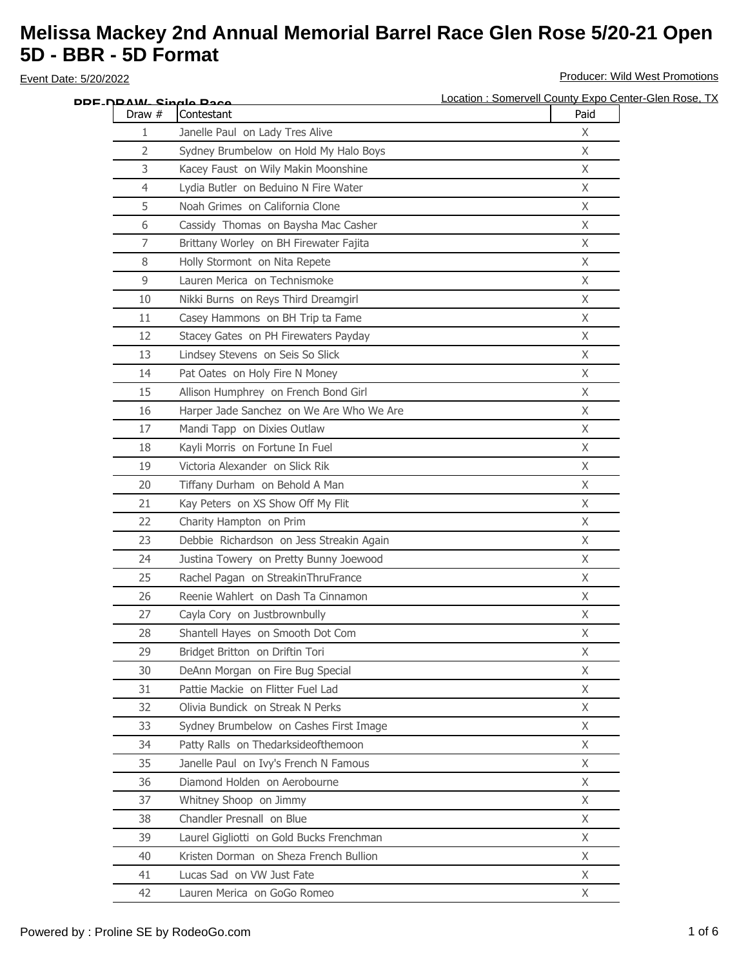| DDF-NRAW- Single Race |                                          | Location : Somervell County Expo Center-Glen Rose, TX |
|-----------------------|------------------------------------------|-------------------------------------------------------|
| Draw #                | Contestant                               | Paid                                                  |
| 1                     | Janelle Paul on Lady Tres Alive          | X                                                     |
| 2                     | Sydney Brumbelow on Hold My Halo Boys    | $\chi$                                                |
| 3                     | Kacey Faust on Wily Makin Moonshine      | X                                                     |
| 4                     | Lydia Butler on Beduino N Fire Water     | X                                                     |
| 5                     | Noah Grimes on California Clone          | X                                                     |
| 6                     | Cassidy Thomas on Baysha Mac Casher      | $\chi$                                                |
| 7                     | Brittany Worley on BH Firewater Fajita   | $\mathsf X$                                           |
| 8                     | Holly Stormont on Nita Repete            | X                                                     |
| 9                     | Lauren Merica on Technismoke             | $\chi$                                                |
| 10                    | Nikki Burns on Reys Third Dreamgirl      | X                                                     |
| 11                    | Casey Hammons on BH Trip ta Fame         | X                                                     |
| 12                    | Stacey Gates on PH Firewaters Payday     | X                                                     |
| 13                    | Lindsey Stevens on Seis So Slick         | X                                                     |
| 14                    | Pat Oates on Holy Fire N Money           | X                                                     |
| 15                    | Allison Humphrey on French Bond Girl     | $\mathsf X$                                           |
| 16                    | Harper Jade Sanchez on We Are Who We Are | X                                                     |
| 17                    | Mandi Tapp on Dixies Outlaw              | $\chi$                                                |
| 18                    | Kayli Morris on Fortune In Fuel          | X                                                     |
| 19                    | Victoria Alexander on Slick Rik          | X                                                     |
| 20                    | Tiffany Durham on Behold A Man           | X                                                     |
| 21                    | Kay Peters on XS Show Off My Flit        | $\chi$                                                |
| 22                    | Charity Hampton on Prim                  | X                                                     |
| 23                    | Debbie Richardson on Jess Streakin Again | $\mathsf{X}$                                          |
| 24                    | Justina Towery on Pretty Bunny Joewood   | $\times$                                              |
| 25                    | Rachel Pagan on StreakinThruFrance       | X                                                     |
| 26                    | Reenie Wahlert on Dash Ta Cinnamon       | X                                                     |
| 27                    | Cayla Cory on Justbrownbully             | X                                                     |
| 28                    | Shantell Hayes on Smooth Dot Com         | X                                                     |
| 29                    | Bridget Britton on Driftin Tori          | X.                                                    |
| 30                    | DeAnn Morgan on Fire Bug Special         | X                                                     |
| 31                    | Pattie Mackie on Flitter Fuel Lad        | X                                                     |
| 32                    | Olivia Bundick on Streak N Perks         | $\mathsf{X}$                                          |
| 33                    | Sydney Brumbelow on Cashes First Image   | X                                                     |
| 34                    | Patty Ralls on Thedarksideofthemoon      | $\chi$                                                |
| 35                    | Janelle Paul on Ivy's French N Famous    | X                                                     |
| 36                    | Diamond Holden on Aerobourne             | X                                                     |
| 37                    | Whitney Shoop on Jimmy                   | X                                                     |
| 38                    | Chandler Presnall on Blue                | X                                                     |
| 39                    | Laurel Gigliotti on Gold Bucks Frenchman | $\mathsf{X}$                                          |
| 40                    | Kristen Dorman on Sheza French Bullion   | X                                                     |
| 41                    | Lucas Sad on VW Just Fate                | X                                                     |
| 42                    | Lauren Merica on GoGo Romeo              | X                                                     |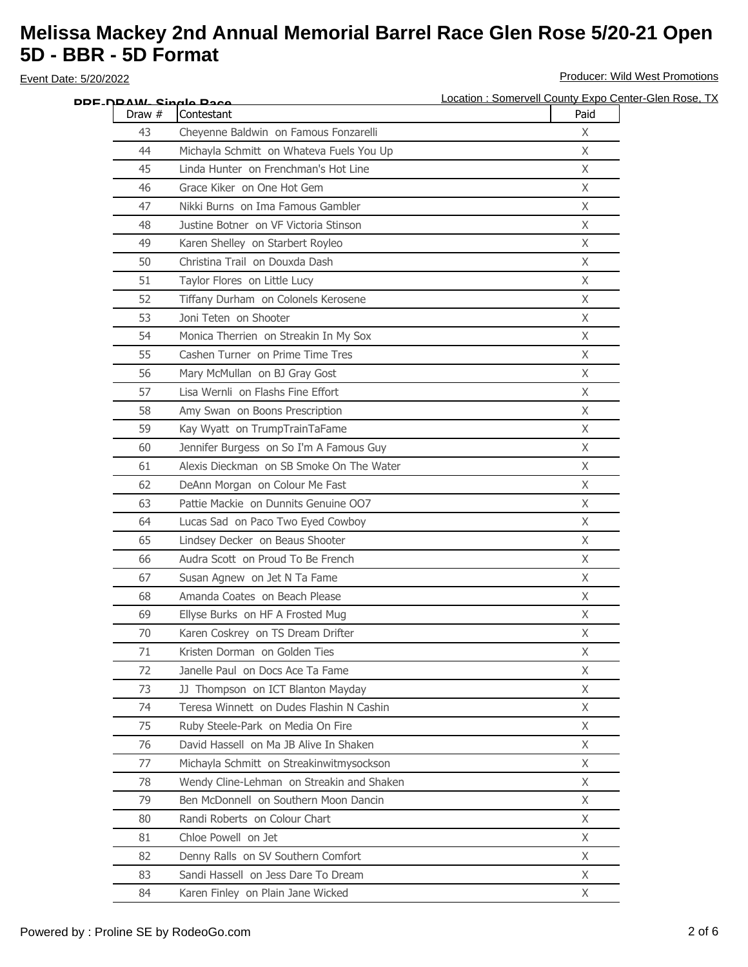|        | DDF_N <u>DAW_ Singlo Paco</u>             | Location: Somervell County Expo Center-Glen Rose, TX |
|--------|-------------------------------------------|------------------------------------------------------|
| Draw # | Contestant                                | Paid                                                 |
| 43     | Cheyenne Baldwin on Famous Fonzarelli     | X                                                    |
| 44     | Michayla Schmitt on Whateva Fuels You Up  | X                                                    |
| 45     | Linda Hunter on Frenchman's Hot Line      | X                                                    |
| 46     | Grace Kiker on One Hot Gem                | $\chi$                                               |
| 47     | Nikki Burns on Ima Famous Gambler         | X                                                    |
| 48     | Justine Botner on VF Victoria Stinson     | $\chi$                                               |
| 49     | Karen Shelley on Starbert Royleo          | X                                                    |
| 50     | Christina Trail on Douxda Dash            | X                                                    |
| 51     | Taylor Flores on Little Lucy              | X                                                    |
| 52     | Tiffany Durham on Colonels Kerosene       | X                                                    |
| 53     | Joni Teten on Shooter                     | X                                                    |
| 54     | Monica Therrien on Streakin In My Sox     | X                                                    |
| 55     | Cashen Turner on Prime Time Tres          | X                                                    |
| 56     | Mary McMullan on BJ Gray Gost             | X                                                    |
| 57     | Lisa Wernli on Flashs Fine Effort         | X                                                    |
| 58     | Amy Swan on Boons Prescription            | X                                                    |
| 59     | Kay Wyatt on TrumpTrainTaFame             | X                                                    |
| 60     | Jennifer Burgess on So I'm A Famous Guy   | X                                                    |
| 61     | Alexis Dieckman on SB Smoke On The Water  | X                                                    |
| 62     | DeAnn Morgan on Colour Me Fast            | X                                                    |
| 63     | Pattie Mackie on Dunnits Genuine OO7      | $\mathsf{X}$                                         |
| 64     | Lucas Sad on Paco Two Eyed Cowboy         | X                                                    |
| 65     | Lindsey Decker on Beaus Shooter           | X                                                    |
| 66     | Audra Scott on Proud To Be French         | X                                                    |
| 67     | Susan Agnew on Jet N Ta Fame              | X                                                    |
| 68     | Amanda Coates on Beach Please             | X                                                    |
| 69     | Ellyse Burks on HF A Frosted Mug          | X                                                    |
| 70     | Karen Coskrey on TS Dream Drifter         | $\mathsf{X}$                                         |
| 71     | Kristen Dorman on Golden Ties             | X                                                    |
| 72     | Janelle Paul on Docs Ace Ta Fame          | X                                                    |
| 73     | JJ Thompson on ICT Blanton Mayday         | X                                                    |
| 74     | Teresa Winnett on Dudes Flashin N Cashin  | X                                                    |
| 75     | Ruby Steele-Park on Media On Fire         | X                                                    |
| 76     | David Hassell on Ma JB Alive In Shaken    | $\mathsf{X}$                                         |
| 77     | Michayla Schmitt on Streakinwitmysockson  | X                                                    |
| 78     | Wendy Cline-Lehman on Streakin and Shaken | X                                                    |
| 79     | Ben McDonnell on Southern Moon Dancin     | $\mathsf X$                                          |
| 80     | Randi Roberts on Colour Chart             | X                                                    |
| 81     | Chloe Powell on Jet                       | X                                                    |
| 82     | Denny Ralls on SV Southern Comfort        | X                                                    |
| 83     | Sandi Hassell on Jess Dare To Dream       | $\mathsf{X}$                                         |
| 84     | Karen Finley on Plain Jane Wicked         | $\chi$                                               |
|        |                                           |                                                      |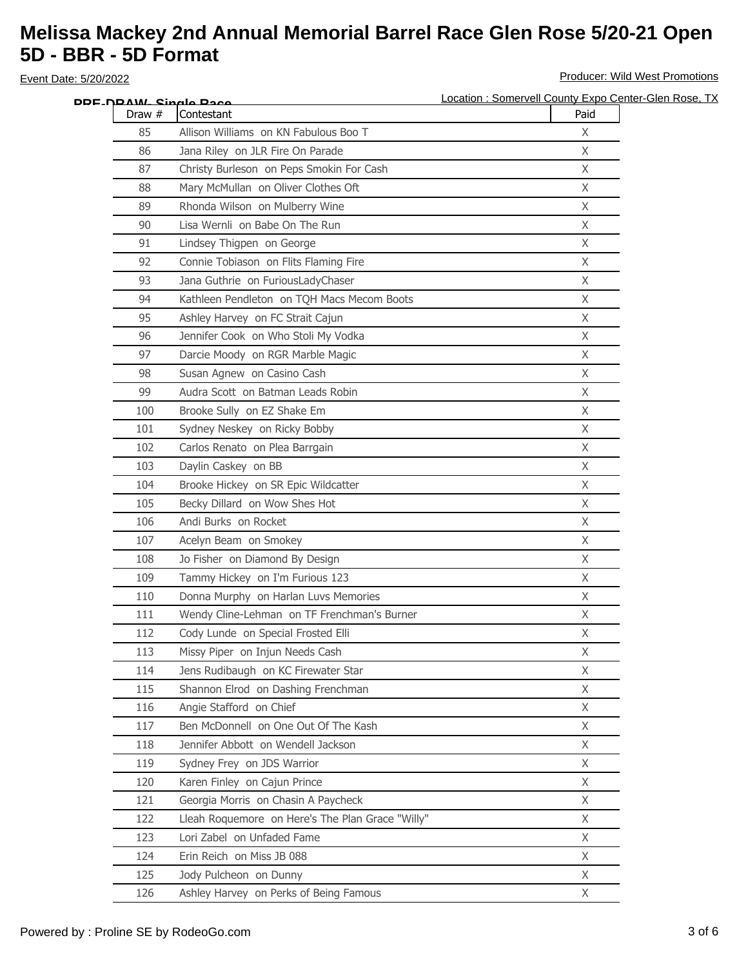| DDE_NDAW_ Single Pace |                                                  | Location : Somervell County Expo Center-Glen Rose, TX |
|-----------------------|--------------------------------------------------|-------------------------------------------------------|
| Draw #                | Contestant                                       | Paid                                                  |
| 85                    | Allison Williams on KN Fabulous Boo T            | X                                                     |
| 86                    | Jana Riley on JLR Fire On Parade                 | $\mathsf X$                                           |
| 87                    | Christy Burleson on Peps Smokin For Cash         | $\mathsf X$                                           |
| 88                    | Mary McMullan on Oliver Clothes Oft              | X                                                     |
| 89                    | Rhonda Wilson on Mulberry Wine                   | X                                                     |
| 90                    | Lisa Wernli on Babe On The Run                   | $\mathsf{X}$                                          |
| 91                    | Lindsey Thigpen on George                        | $\mathsf X$                                           |
| 92                    | Connie Tobiason on Flits Flaming Fire            | X                                                     |
| 93                    | Jana Guthrie on FuriousLadyChaser                | $\mathsf{X}$                                          |
| 94                    | Kathleen Pendleton on TQH Macs Mecom Boots       | X                                                     |
| 95                    | Ashley Harvey on FC Strait Cajun                 | X                                                     |
| 96                    | Jennifer Cook on Who Stoli My Vodka              | X                                                     |
| 97                    | Darcie Moody on RGR Marble Magic                 | X                                                     |
| 98                    | Susan Agnew on Casino Cash                       | X                                                     |
| 99                    | Audra Scott on Batman Leads Robin                | X                                                     |
| 100                   | Brooke Sully on EZ Shake Em                      | X                                                     |
| 101                   | Sydney Neskey on Ricky Bobby                     | $\mathsf{X}$                                          |
| 102                   | Carlos Renato on Plea Barrgain                   | X                                                     |
| 103                   | Daylin Caskey on BB                              | X                                                     |
| 104                   | Brooke Hickey on SR Epic Wildcatter              | X                                                     |
| 105                   | Becky Dillard on Wow Shes Hot                    | $\mathsf{X}$                                          |
| 106                   | Andi Burks on Rocket                             | X                                                     |
| 107                   | Acelyn Beam on Smokey                            | $\mathsf{X}$                                          |
| 108                   | Jo Fisher on Diamond By Design                   | X                                                     |
| 109                   | Tammy Hickey on I'm Furious 123                  | X                                                     |
| 110                   | Donna Murphy on Harlan Luvs Memories             | X                                                     |
| 111                   | Wendy Cline-Lehman on TF Frenchman's Burner      | X                                                     |
| 112                   | Cody Lunde on Special Frosted Elli               | X                                                     |
| 113                   | Missy Piper on Injun Needs Cash                  | X.                                                    |
| 114                   | Jens Rudibaugh on KC Firewater Star              | X                                                     |
| 115                   | Shannon Elrod on Dashing Frenchman               | X                                                     |
| 116                   | Angie Stafford on Chief                          | $\mathsf{X}$                                          |
| 117                   | Ben McDonnell on One Out Of The Kash             | X                                                     |
| 118                   | Jennifer Abbott on Wendell Jackson               | $\chi$                                                |
| 119                   | Sydney Frey on JDS Warrior                       | X                                                     |
| 120                   | Karen Finley on Cajun Prince                     | X                                                     |
| 121                   | Georgia Morris on Chasin A Paycheck              | X                                                     |
| 122                   | Lleah Roquemore on Here's The Plan Grace "Willy" | X                                                     |
| 123                   | Lori Zabel on Unfaded Fame                       | $\mathsf{X}$                                          |
| 124                   | Erin Reich on Miss JB 088                        | X                                                     |
| 125                   | Jody Pulcheon on Dunny                           | X                                                     |
| 126                   | Ashley Harvey on Perks of Being Famous           | X                                                     |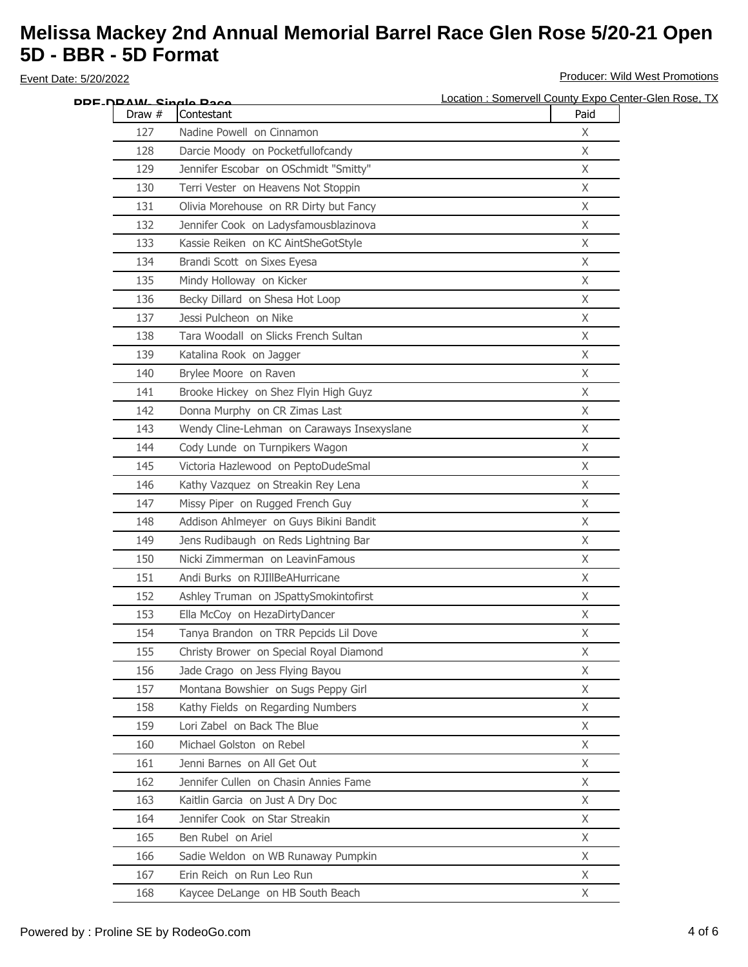| DDF-NRAW- Single Race |                                            | Location: Somervell County Expo Center-Glen Rose, TX |
|-----------------------|--------------------------------------------|------------------------------------------------------|
| Draw $#$              | Contestant                                 | Paid                                                 |
| 127                   | Nadine Powell on Cinnamon                  | X                                                    |
| 128                   | Darcie Moody on Pocketfullofcandy          | X                                                    |
| 129                   | Jennifer Escobar on OSchmidt "Smitty"      | $\mathsf X$                                          |
| 130                   | Terri Vester on Heavens Not Stoppin        | X                                                    |
| 131                   | Olivia Morehouse on RR Dirty but Fancy     | X                                                    |
| 132                   | Jennifer Cook on Ladysfamousblazinova      | X                                                    |
| 133                   | Kassie Reiken on KC AintSheGotStyle        | $\mathsf X$                                          |
| 134                   | Brandi Scott on Sixes Eyesa                | X                                                    |
| 135                   | Mindy Holloway on Kicker                   | $\mathsf{X}$                                         |
| 136                   | Becky Dillard on Shesa Hot Loop            | X                                                    |
| 137                   | Jessi Pulcheon on Nike                     | X                                                    |
| 138                   | Tara Woodall on Slicks French Sultan       | X                                                    |
| 139                   | Katalina Rook on Jagger                    | X                                                    |
| 140                   | Brylee Moore on Raven                      | X                                                    |
| 141                   | Brooke Hickey on Shez Flyin High Guyz      | X                                                    |
| 142                   | Donna Murphy on CR Zimas Last              | X                                                    |
| 143                   | Wendy Cline-Lehman on Caraways Insexyslane | $\mathsf{X}$                                         |
| 144                   | Cody Lunde on Turnpikers Wagon             | $\mathsf X$                                          |
| 145                   | Victoria Hazlewood on PeptoDudeSmal        | X                                                    |
| 146                   | Kathy Vazquez on Streakin Rey Lena         | X                                                    |
| 147                   | Missy Piper on Rugged French Guy           | $\mathsf{X}$                                         |
| 148                   | Addison Ahlmeyer on Guys Bikini Bandit     | X                                                    |
| 149                   | Jens Rudibaugh on Reds Lightning Bar       | $\mathsf{X}$                                         |
| 150                   | Nicki Zimmerman on LeavinFamous            | X                                                    |
| 151                   | Andi Burks on RJIllBeAHurricane            | Χ                                                    |
| 152                   | Ashley Truman on JSpattySmokintofirst      | X                                                    |
| 153                   | Ella McCoy on HezaDirtyDancer              | X                                                    |
| 154                   | Tanya Brandon on TRR Pepcids Lil Dove      | X                                                    |
| 155                   | Christy Brower on Special Royal Diamond    | X.                                                   |
| 156                   | Jade Crago on Jess Flying Bayou            | X                                                    |
| 157                   | Montana Bowshier on Sugs Peppy Girl        | X                                                    |
| 158                   | Kathy Fields on Regarding Numbers          | $\mathsf{X}$                                         |
| 159                   | Lori Zabel on Back The Blue                | X                                                    |
| 160                   | Michael Golston on Rebel                   | $\chi$                                               |
| 161                   | Jenni Barnes on All Get Out                | X                                                    |
| 162                   | Jennifer Cullen on Chasin Annies Fame      | X                                                    |
| 163                   | Kaitlin Garcia on Just A Dry Doc           | X                                                    |
| 164                   | Jennifer Cook on Star Streakin             | X                                                    |
| 165                   | Ben Rubel on Ariel                         | $\mathsf{X}$                                         |
| 166                   | Sadie Weldon on WB Runaway Pumpkin         | X                                                    |
| 167                   | Erin Reich on Run Leo Run                  | X                                                    |
| 168                   | Kaycee DeLange on HB South Beach           | X                                                    |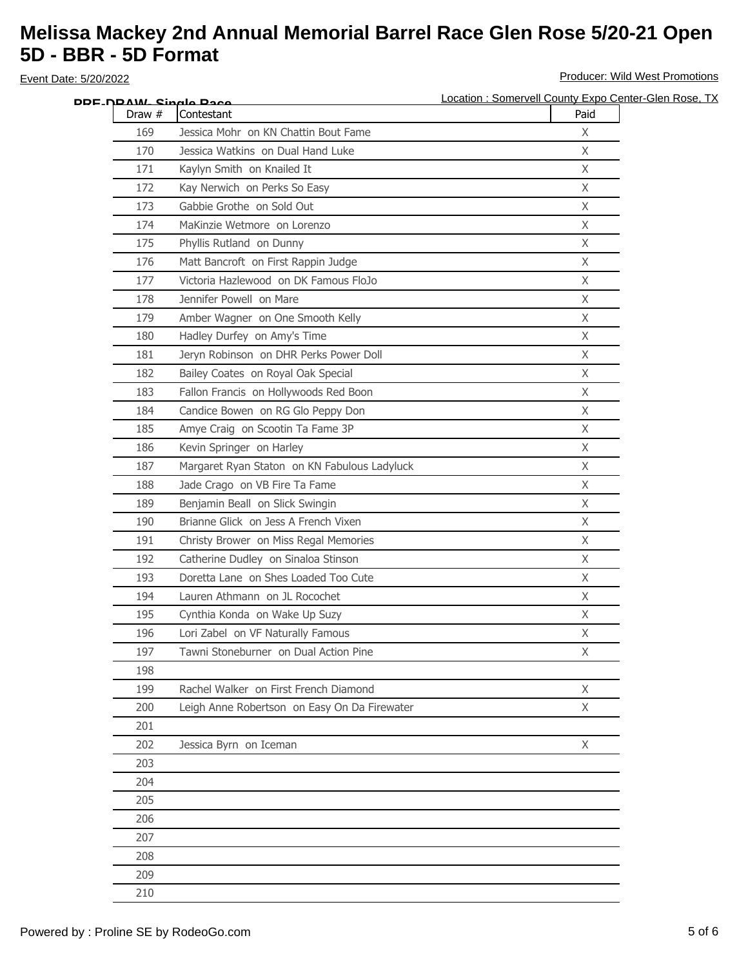|        | DDF_N <u>DAW_ Sinalo Raco</u>                | Location: Somervell County Expo Center-Glen Rose, TX |
|--------|----------------------------------------------|------------------------------------------------------|
| Draw # | Contestant                                   | Paid                                                 |
| 169    | Jessica Mohr on KN Chattin Bout Fame         | X                                                    |
| 170    | Jessica Watkins on Dual Hand Luke            | X                                                    |
| 171    | Kaylyn Smith on Knailed It                   | X                                                    |
| 172    | Kay Nerwich on Perks So Easy                 | $\mathsf{X}$                                         |
| 173    | Gabbie Grothe on Sold Out                    | X                                                    |
| 174    | MaKinzie Wetmore on Lorenzo                  | $\mathsf{X}$                                         |
| 175    | Phyllis Rutland on Dunny                     | X                                                    |
| 176    | Matt Bancroft on First Rappin Judge          | $\chi$                                               |
| 177    | Victoria Hazlewood on DK Famous FloJo        | X                                                    |
| 178    | Jennifer Powell on Mare                      | X                                                    |
| 179    | Amber Wagner on One Smooth Kelly             | X                                                    |
| 180    | Hadley Durfey on Amy's Time                  | $\mathsf{X}$                                         |
| 181    | Jeryn Robinson on DHR Perks Power Doll       | X                                                    |
| 182    | Bailey Coates on Royal Oak Special           | X                                                    |
| 183    | Fallon Francis on Hollywoods Red Boon        | $\mathsf{X}$                                         |
| 184    | Candice Bowen on RG Glo Peppy Don            | X                                                    |
| 185    | Amye Craig on Scootin Ta Fame 3P             | X                                                    |
| 186    | Kevin Springer on Harley                     | X                                                    |
| 187    | Margaret Ryan Staton on KN Fabulous Ladyluck | $\mathsf{X}$                                         |
| 188    | Jade Crago on VB Fire Ta Fame                | X                                                    |
| 189    | Benjamin Beall on Slick Swingin              | $\mathsf{X}$                                         |
| 190    | Brianne Glick on Jess A French Vixen         | X                                                    |
| 191    | Christy Brower on Miss Regal Memories        | X                                                    |
| 192    | Catherine Dudley on Sinaloa Stinson          | X                                                    |
| 193    | Doretta Lane on Shes Loaded Too Cute         | X                                                    |
| 194    | Lauren Athmann on JL Rocochet                | X                                                    |
| 195    | Cynthia Konda on Wake Up Suzy                | X                                                    |
| 196    | Lori Zabel on VF Naturally Famous            | $\mathsf{X}$                                         |
| 197    | Tawni Stoneburner on Dual Action Pine        | X                                                    |
| 198    |                                              |                                                      |
| 199    | Rachel Walker on First French Diamond        | X                                                    |
| 200    | Leigh Anne Robertson on Easy On Da Firewater | X                                                    |
| 201    |                                              |                                                      |
| 202    | Jessica Byrn on Iceman                       | $\mathsf{X}$                                         |
| 203    |                                              |                                                      |
| 204    |                                              |                                                      |
| 205    |                                              |                                                      |
| 206    |                                              |                                                      |
| 207    |                                              |                                                      |
| 208    |                                              |                                                      |
| 209    |                                              |                                                      |
| 210    |                                              |                                                      |
|        |                                              |                                                      |